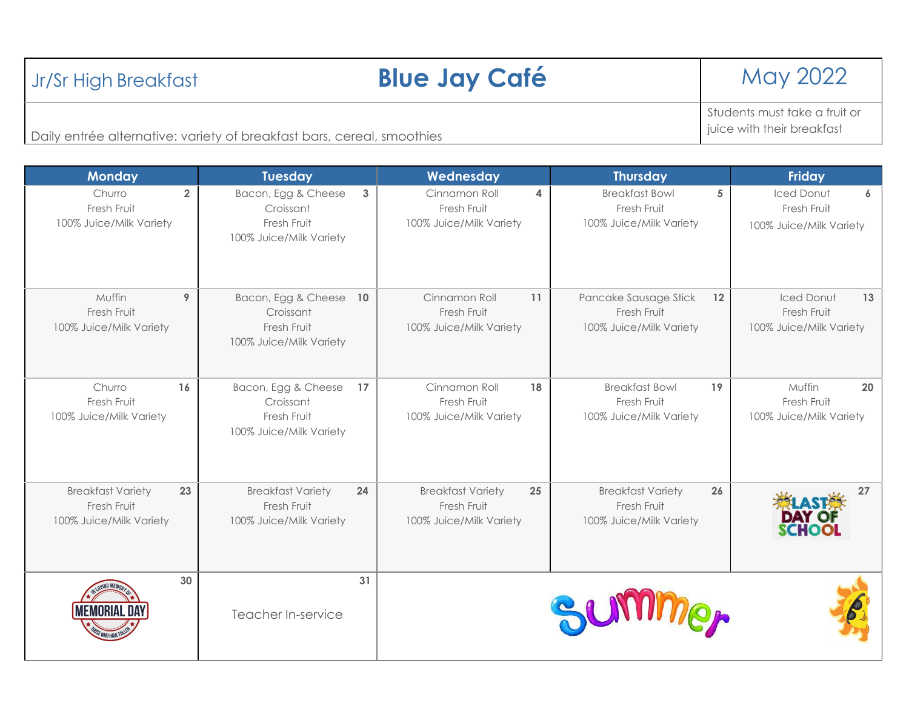| Daily entrée alternative: variety of breakfast bars, cereal, smoothies   |                                                                                  |                                                                          |                                                                    | juice with their breakfast                                              |
|--------------------------------------------------------------------------|----------------------------------------------------------------------------------|--------------------------------------------------------------------------|--------------------------------------------------------------------|-------------------------------------------------------------------------|
| <b>Monday</b>                                                            | <b>Tuesday</b>                                                                   | Wednesday                                                                | <b>Thursday</b>                                                    | <b>Friday</b>                                                           |
| $\overline{2}$<br>Churro<br>Fresh Fruit<br>100% Juice/Milk Variety       | Bacon, Egg & Cheese<br>3<br>Croissant<br>Fresh Fruit<br>100% Juice/Milk Variety  | Cinnamon Roll<br>4<br>Fresh Fruit<br>100% Juice/Milk Variety             | <b>Breakfast Bowl</b><br>Fresh Fruit<br>100% Juice/Milk Variety    | 5<br>Iced Donut<br>6<br>Fresh Fruit<br>100% Juice/Milk Variety          |
| Muffin<br>9<br>Fresh Fruit<br>100% Juice/Milk Variety                    | Bacon, Egg & Cheese<br>10<br>Croissant<br>Fresh Fruit<br>100% Juice/Milk Variety | Cinnamon Roll<br>11<br>Fresh Fruit<br>100% Juice/Milk Variety            | Pancake Sausage Stick<br>Fresh Fruit<br>100% Juice/Milk Variety    | <b>Iced Donut</b><br>13<br>12<br>Fresh Fruit<br>100% Juice/Milk Variety |
| Churro<br>16<br>Fresh Fruit<br>100% Juice/Milk Variety                   | Bacon, Egg & Cheese<br>17<br>Croissant<br>Fresh Fruit<br>100% Juice/Milk Variety | Cinnamon Roll<br>18<br>Fresh Fruit<br>100% Juice/Milk Variety            | <b>Breakfast Bowl</b><br>Fresh Fruit<br>100% Juice/Milk Variety    | Muffin<br>20<br>19<br>Fresh Fruit<br>100% Juice/Milk Variety            |
| <b>Breakfast Variety</b><br>23<br>Fresh Fruit<br>100% Juice/Milk Variety | <b>Breakfast Variety</b><br>24<br>Fresh Fruit<br>100% Juice/Milk Variety         | <b>Breakfast Variety</b><br>25<br>Fresh Fruit<br>100% Juice/Milk Variety | <b>Breakfast Variety</b><br>Fresh Fruit<br>100% Juice/Milk Variety | 26<br>27<br><b>CHOO</b>                                                 |
| 30                                                                       | 31<br>Teacher In-service                                                         |                                                                          |                                                                    |                                                                         |



Students must take a fruit or